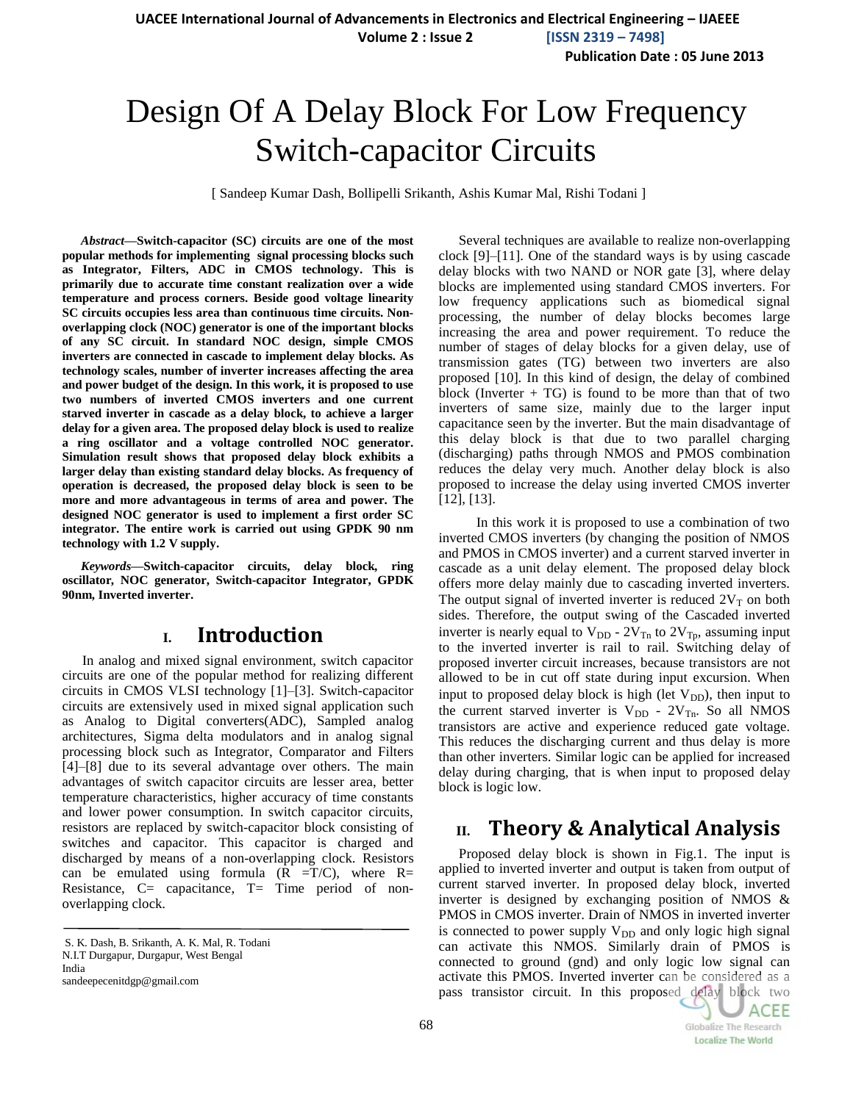**Publication Date : 05 June 2013**

# Design Of A Delay Block For Low Frequency Switch-capacitor Circuits

[ Sandeep Kumar Dash, Bollipelli Srikanth, Ashis Kumar Mal, Rishi Todani ]

*Abstract***—Switch-capacitor (SC) circuits are one of the most popular methods for implementing signal processing blocks such as Integrator, Filters, ADC in CMOS technology. This is primarily due to accurate time constant realization over a wide temperature and process corners. Beside good voltage linearity SC circuits occupies less area than continuous time circuits. Nonoverlapping clock (NOC) generator is one of the important blocks of any SC circuit. In standard NOC design, simple CMOS inverters are connected in cascade to implement delay blocks. As technology scales, number of inverter increases affecting the area and power budget of the design. In this work, it is proposed to use two numbers of inverted CMOS inverters and one current starved inverter in cascade as a delay block, to achieve a larger delay for a given area. The proposed delay block is used to realize a ring oscillator and a voltage controlled NOC generator. Simulation result shows that proposed delay block exhibits a larger delay than existing standard delay blocks. As frequency of operation is decreased, the proposed delay block is seen to be more and more advantageous in terms of area and power. The designed NOC generator is used to implement a first order SC integrator. The entire work is carried out using GPDK 90 nm technology with 1.2 V supply.** 

*Keywords***—Switch-capacitor circuits, delay block***,* **ring oscillator***,* **NOC generator, Switch-capacitor Integrator, GPDK 90nm, Inverted inverter.**

# **I. Introduction**

In analog and mixed signal environment, switch capacitor circuits are one of the popular method for realizing different circuits in CMOS VLSI technology [1]–[3]. Switch-capacitor circuits are extensively used in mixed signal application such as Analog to Digital converters(ADC), Sampled analog architectures, Sigma delta modulators and in analog signal processing block such as Integrator, Comparator and Filters [4]–[8] due to its several advantage over others. The main advantages of switch capacitor circuits are lesser area, better temperature characteristics, higher accuracy of time constants and lower power consumption. In switch capacitor circuits, resistors are replaced by switch-capacitor block consisting of switches and capacitor. This capacitor is charged and discharged by means of a non-overlapping clock. Resistors can be emulated using formula  $(R = T/C)$ , where  $R=$ Resistance,  $C=$  capacitance,  $T=$  Time period of nonoverlapping clock.

Several techniques are available to realize non-overlapping clock [9]–[11]. One of the standard ways is by using cascade delay blocks with two NAND or NOR gate [3], where delay blocks are implemented using standard CMOS inverters. For low frequency applications such as biomedical signal processing, the number of delay blocks becomes large increasing the area and power requirement. To reduce the number of stages of delay blocks for a given delay, use of transmission gates (TG) between two inverters are also proposed [10]. In this kind of design, the delay of combined block (Inverter  $+ TG$ ) is found to be more than that of two inverters of same size, mainly due to the larger input capacitance seen by the inverter. But the main disadvantage of this delay block is that due to two parallel charging (discharging) paths through NMOS and PMOS combination reduces the delay very much. Another delay block is also proposed to increase the delay using inverted CMOS inverter [12], [13].

 In this work it is proposed to use a combination of two inverted CMOS inverters (by changing the position of NMOS and PMOS in CMOS inverter) and a current starved inverter in cascade as a unit delay element. The proposed delay block offers more delay mainly due to cascading inverted inverters. The output signal of inverted inverter is reduced  $2V<sub>T</sub>$  on both sides. Therefore, the output swing of the Cascaded inverted inverter is nearly equal to  $V_{DD}$  -  $2V_{Tn}$  to  $2V_{Tp}$ , assuming input to the inverted inverter is rail to rail. Switching delay of proposed inverter circuit increases, because transistors are not allowed to be in cut off state during input excursion. When input to proposed delay block is high (let  $V_{DD}$ ), then input to the current starved inverter is  $V_{DD}$  -  $2V_{Tn}$ . So all NMOS transistors are active and experience reduced gate voltage. This reduces the discharging current and thus delay is more than other inverters. Similar logic can be applied for increased delay during charging, that is when input to proposed delay block is logic low.

# **II. Theory & Analytical Analysis**

Proposed delay block is shown in Fig.1. The input is applied to inverted inverter and output is taken from output of current starved inverter. In proposed delay block, inverted inverter is designed by exchanging position of NMOS & PMOS in CMOS inverter. Drain of NMOS in inverted inverter is connected to power supply  $V_{DD}$  and only logic high signal can activate this NMOS. Similarly drain of PMOS is connected to ground (gnd) and only logic low signal can activate this PMOS. Inverted inverter can be considered as a pass transistor circuit. In this proposed delay block two

**ACEE** 

**Globalize The Research Localize The World** 

S. K. Dash, B. Srikanth, A. K. Mal, R. Todani N.I.T Durgapur, Durgapur, West Bengal India

sandeepecenitdgp@gmail.com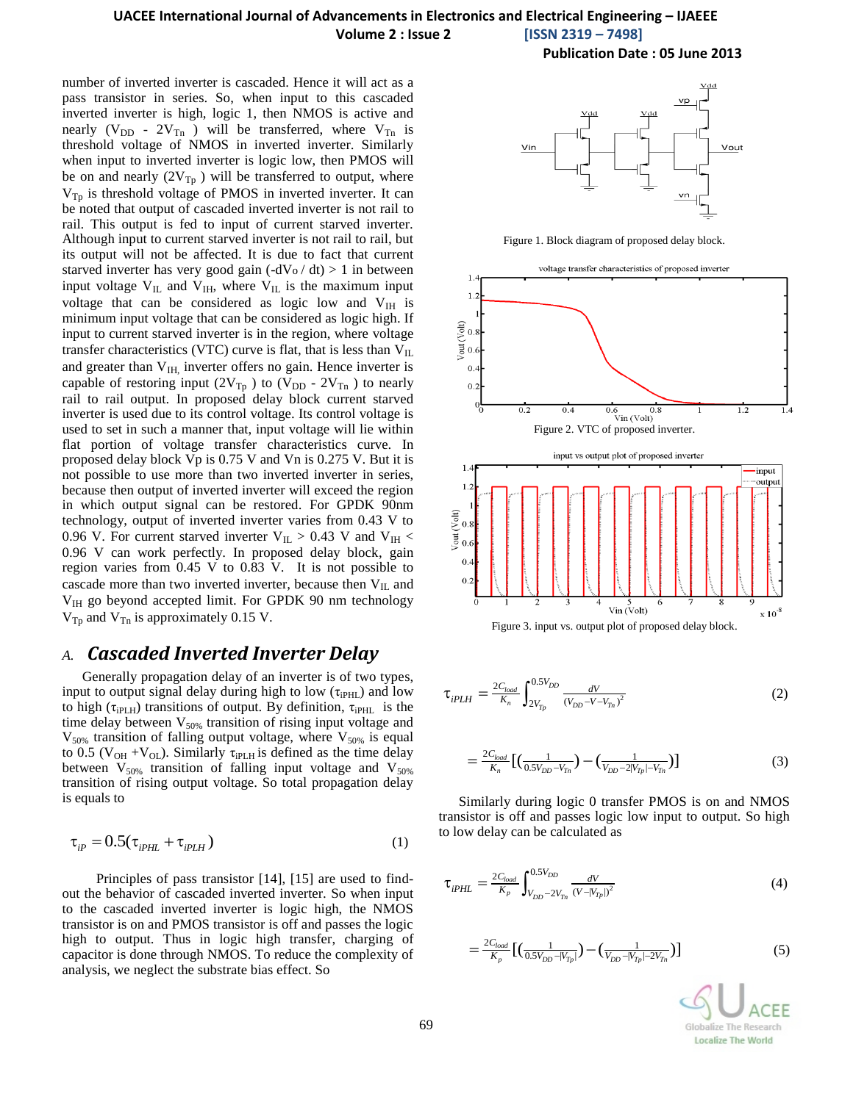# **UACEE International Journal of Advancements in Electronics and Electrical Engineering – IJAEEE**

**Volume 2 : Issue 2 [ISSN 2319 – 7498]**

**Publication Date : 05 June 2013**

number of inverted inverter is cascaded. Hence it will act as a pass transistor in series. So, when input to this cascaded inverted inverter is high, logic 1, then NMOS is active and nearly ( $V_{DD}$  -  $2V_{Tn}$ ) will be transferred, where  $V_{Tn}$  is threshold voltage of NMOS in inverted inverter. Similarly when input to inverted inverter is logic low, then PMOS will be on and nearly  $(2V_{Tp})$  will be transferred to output, where  $V_{Tp}$  is threshold voltage of PMOS in inverted inverter. It can be noted that output of cascaded inverted inverter is not rail to rail. This output is fed to input of current starved inverter. Although input to current starved inverter is not rail to rail, but its output will not be affected. It is due to fact that current starved inverter has very good gain  $(-dV_0/dt) > 1$  in between input voltage  $V_{IL}$  and  $V_{IH}$ , where  $V_{IL}$  is the maximum input voltage that can be considered as logic low and  $V_{\text{IH}}$  is minimum input voltage that can be considered as logic high. If input to current starved inverter is in the region, where voltage transfer characteristics (VTC) curve is flat, that is less than  $V_{IL}$ and greater than  $V<sub>IH</sub>$ , inverter offers no gain. Hence inverter is capable of restoring input (2V<sub>Tp</sub>) to (V<sub>DD</sub> - 2V<sub>Tn</sub>) to nearly rail to rail output. In proposed delay block current starved inverter is used due to its control voltage. Its control voltage is used to set in such a manner that, input voltage will lie within flat portion of voltage transfer characteristics curve. In proposed delay block Vp is 0.75 V and Vn is 0.275 V. But it is not possible to use more than two inverted inverter in series, because then output of inverted inverter will exceed the region in which output signal can be restored. For GPDK 90nm technology, output of inverted inverter varies from 0.43 V to 0.96 V. For current starved inverter  $V_{\text{IL}} > 0.43$  V and  $V_{\text{IH}} <$ 0.96 V can work perfectly. In proposed delay block, gain region varies from 0.45 V to 0.83 V. It is not possible to cascade more than two inverted inverter, because then  $V_{IL}$  and  $V_{\text{IH}}$  go beyond accepted limit. For GPDK 90 nm technology  $V_{\text{Tp}}$  and  $V_{\text{Tn}}$  is approximately 0.15 V.

# *A. Cascaded Inverted Inverter Delay*

Generally propagation delay of an inverter is of two types, input to output signal delay during high to low  $(\tau_{iPHL})$  and low to high ( $\tau_{iPLH}$ ) transitions of output. By definition,  $\tau_{iPHL}$  is the time delay between  $V_{50\%}$  transition of rising input voltage and  $V_{50\%}$  transition of falling output voltage, where  $V_{50\%}$  is equal to 0.5 ( $V_{OH} + V_{OL}$ ). Similarly  $\tau_{iPLH}$  is defined as the time delay between  $V_{50\%}$  transition of falling input voltage and  $V_{50\%}$ transition of rising output voltage. So total propagation delay is equals to

$$
\tau_{ip} = 0.5(\tau_{ipHL} + \tau_{ipLH})
$$
\n(1)

 Principles of pass transistor [14], [15] are used to findout the behavior of cascaded inverted inverter. So when input to the cascaded inverted inverter is logic high, the NMOS transistor is on and PMOS transistor is off and passes the logic high to output. Thus in logic high transfer, charging of capacitor is done through NMOS. To reduce the complexity of analysis, we neglect the substrate bias effect. So



Figure 1. Block diagram of proposed delay block.



$$
\tau_{iPLH} = \frac{2C_{load}}{K_n} \int_{2V_{Tp}}^{0.5V_{DD}} \frac{dV}{(V_{DD} - V - V_{Tn})^2}
$$
(2)

$$
=\frac{2C_{load}}{K_n} \left[ \left( \frac{1}{0.5V_{DD} - V_{Tn}} \right) - \left( \frac{1}{V_{DD} - 2|V_{Tp}| - V_{Tn}} \right) \right]
$$
(3)

Similarly during logic 0 transfer PMOS is on and NMOS transistor is off and passes logic low input to output. So high to low delay can be calculated as

$$
\tau_{iPHL} = \frac{2C_{load}}{K_p} \int_{V_{DD} - 2V_{Tn}}^{0.5V_{DD}} \frac{dV}{(V - |V_{Tp}|)^2}
$$
(4)

$$
=\frac{2C_{load}}{K_p} \left[ \left( \frac{1}{0.5V_{DD} - |V_{Tp}|} \right) - \left( \frac{1}{V_{DD} - |V_{Tp}| - 2V_{Tn}} \right) \right]
$$
(5)

Globalize The Research **Localize The World**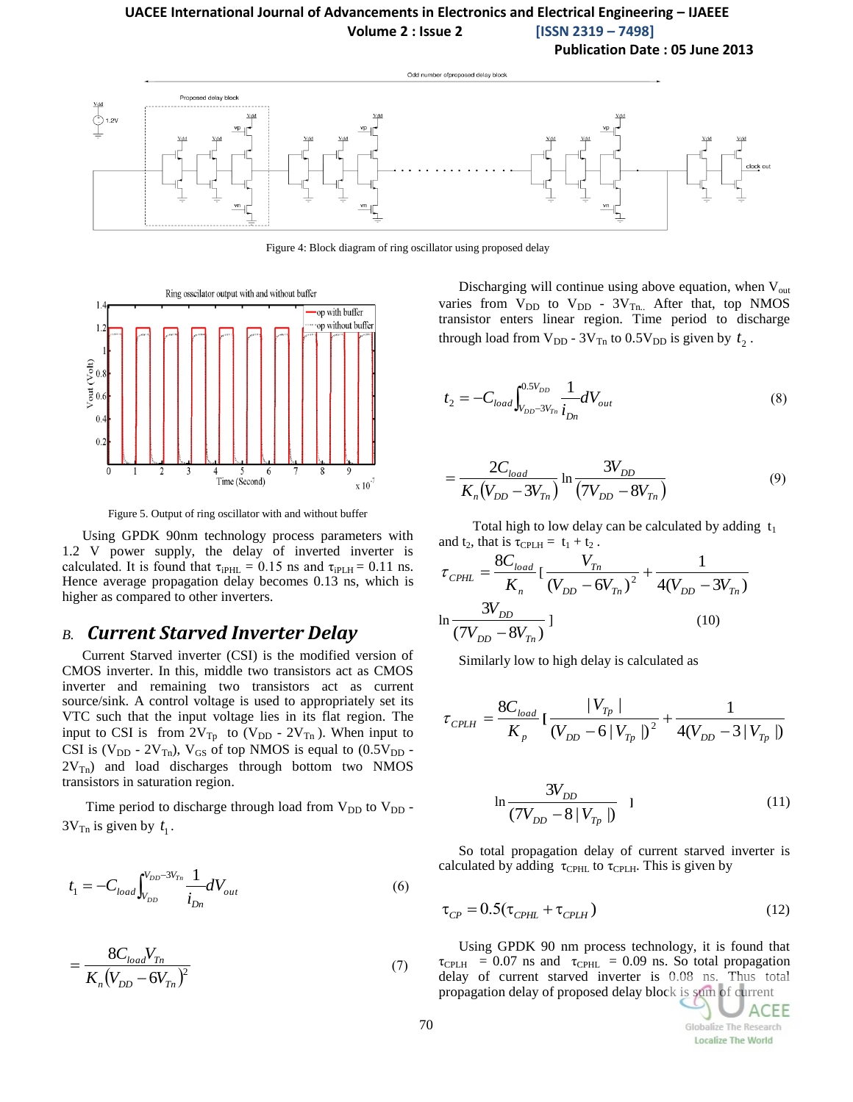## **UACEE International Journal of Advancements in Electronics and Electrical Engineering – IJAEEE Volume 2 : Issue 2 [ISSN 2319 – 7498]**

**Publication Date : 05 June 2013**



Figure 4: Block diagram of ring oscillator using proposed delay



Figure 5. Output of ring oscillator with and without buffer

Using GPDK 90nm technology process parameters with 1.2 V power supply, the delay of inverted inverter is calculated. It is found that  $\tau_{iPHL} = 0.15$  ns and  $\tau_{iPLH} = 0.11$  ns. Hence average propagation delay becomes 0.13 ns, which is higher as compared to other inverters.

## *B. Current Starved Inverter Delay*

Current Starved inverter (CSI) is the modified version of CMOS inverter. In this, middle two transistors act as CMOS inverter and remaining two transistors act as current source/sink. A control voltage is used to appropriately set its VTC such that the input voltage lies in its flat region. The input to CSI is from  $2V_{Tp}$  to  $(V_{DD} - 2V_{Tn})$ . When input to CSI is  $(V_{DD} - 2V_{Tn})$ ,  $V_{GS}$  of top NMOS is equal to  $(0.5V_{DD} 2V_{\text{Th}}$ ) and load discharges through bottom two NMOS transistors in saturation region.

Time period to discharge through load from  $V_{DD}$  to  $V_{DD}$ .  $3V_{\text{Tn}}$  is given by  $t_1$ .

$$
t_1 = -C_{load} \int_{V_{DD}}^{V_{DD} - 3V_{Tn}} \frac{1}{i_{Dn}} dV_{out}
$$
 (6)

$$
=\frac{8C_{load}V_{Tn}}{K_n(V_{DD} - 6V_{Tn})^2}
$$
\n(7)

Discharging will continue using above equation, when  $V_{out}$ varies from  $V_{DD}$  to  $V_{DD}$  -  $3V_{Tn}$ . After that, top NMOS transistor enters linear region. Time period to discharge through load from  $V_{DD}$  -  $3V_{Tn}$  to  $0.5V_{DD}$  is given by  $t_2$ .

$$
t_2 = -C_{load} \int_{V_{DD}-3V_{Tn}}^{0.5V_{DD}} \frac{1}{i_{Dn}} dV_{out}
$$
 (8)

$$
=\frac{2C_{load}}{K_n(V_{DD}-3V_{Tn})}\ln\frac{3V_{DD}}{(7V_{DD}-8V_{Tn})}
$$
(9)

Total high to low delay can be calculated by adding  $t_1$ and  $t_2$ , that is  $\tau_{\text{CPLH}} = t_1 + t_2$ .

$$
\tau_{\text{CPHL}} = \frac{8C_{\text{load}}}{K_n} \left[ \frac{V_{T_n}}{(V_{DD} - 6V_{T_n})^2} + \frac{1}{4(V_{DD} - 3V_{T_n})} \right]
$$
  

$$
\ln \frac{3V_{DD}}{(7V_{DD} - 8V_{T_n})} \left[ \frac{(10)^2}{2} \right]
$$

Similarly low to high delay is calculated as

$$
\tau_{\text{CPLH}} = \frac{8C_{load}}{K_p} \left[ \frac{V_{T_p}}{(V_{DD} - 6|V_{T_p}|)^2} + \frac{1}{4(V_{DD} - 3|V_{T_p}|)} \right]
$$

$$
\ln \frac{3V_{DD}}{(7V_{DD} - 8|V_{Tp}|)} \quad 1 \tag{11}
$$

So total propagation delay of current starved inverter is calculated by adding  $\tau_{\text{CPHL}}$  to  $\tau_{\text{CPL}}$ . This is given by

$$
\tau_{CP} = 0.5(\tau_{\text{CPHL}} + \tau_{\text{CPLH}})
$$
\n(12)

Using GPDK 90 nm process technology, it is found that  $\tau_{\text{CPLH}}$  = 0.07 ns and  $\tau_{\text{CPHL}}$  = 0.09 ns. So total propagation delay of current starved inverter is 0.08 ns. Thus total propagation delay of proposed delay block is sum of current

70

ACEE Globalize The Research **Localize The World**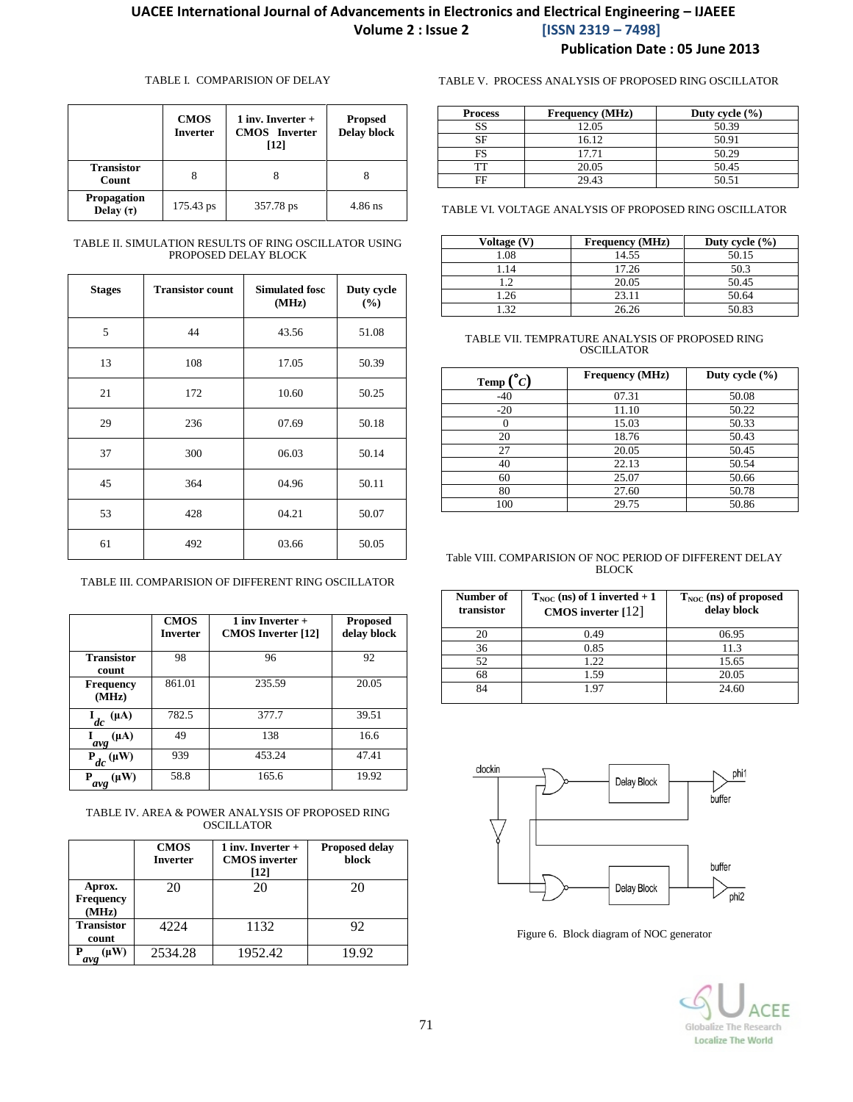#### TABLE I. COMPARISION OF DELAY

|                                      | <b>CMOS</b><br><b>Inverter</b> | 1 inv. Inverter $+$<br><b>CMOS</b> Inverter<br>[12] | <b>Propsed</b><br><b>Delay block</b> |
|--------------------------------------|--------------------------------|-----------------------------------------------------|--------------------------------------|
| <b>Transistor</b><br>Count           | 8                              |                                                     |                                      |
| <b>Propagation</b><br>Delay $(\tau)$ | 175.43 ps                      | 357.78 ps                                           | $4.86$ ns                            |

#### TABLE II. SIMULATION RESULTS OF RING OSCILLATOR USING PROPOSED DELAY BLOCK

| <b>Stages</b> | <b>Transistor count</b> | <b>Simulated fosc</b><br>(MHz) | Duty cycle<br>(%) |
|---------------|-------------------------|--------------------------------|-------------------|
| 5             | 44                      | 43.56                          | 51.08             |
| 13            | 108                     | 17.05                          | 50.39             |
| 21            | 172                     | 10.60                          | 50.25             |
| 29            | 236                     | 07.69                          | 50.18             |
| 37            | 300                     | 06.03                          | 50.14             |
| 45            | 364                     | 04.96                          | 50.11             |
| 53            | 428                     | 04.21                          | 50.07             |
| 61            | 492                     | 03.66                          | 50.05             |

TABLE III. COMPARISION OF DIFFERENT RING OSCILLATOR

|                                | <b>CMOS</b><br><b>Inverter</b> | 1 inv Inverter $+$<br><b>CMOS</b> Inverter [12] | <b>Proposed</b><br>delay block |
|--------------------------------|--------------------------------|-------------------------------------------------|--------------------------------|
| <b>Transistor</b><br>count     | 98                             | 96                                              | 92                             |
| <b>Frequency</b><br>(MHz)      | 861.01                         | 235.59                                          | 20.05                          |
| $(\mu A)$<br>$\mathbf{L}_{dc}$ | 782.5                          | 377.7                                           | 39.51                          |
| $(\mu A)$<br>avg               | 49                             | 138                                             | 16.6                           |
| $P_{dc}(\mu W)$                | 939                            | 453.24                                          | 47.41                          |
| $(\mu W)$<br>Р<br>avg          | 58.8                           | 165.6                                           | 19.92                          |

TABLE IV. AREA & POWER ANALYSIS OF PROPOSED RING **OSCILLATOR** 

|                                     | <b>CMOS</b><br><b>Inverter</b> | 1 inv. Inverter $+$<br><b>CMOS</b> inverter<br>[12] | <b>Proposed delay</b><br>block |
|-------------------------------------|--------------------------------|-----------------------------------------------------|--------------------------------|
| Aprox.<br><b>Frequency</b><br>(MHz) | 20                             | 20                                                  | 20                             |
| <b>Transistor</b><br>count          | 4224                           | 1132                                                | 92                             |
| $(\mu W)$<br>D<br>avg               | 2534.28                        | 1952.42                                             | 19.92                          |

TABLE V. PROCESS ANALYSIS OF PROPOSED RING OSCILLATOR

| <b>Process</b> | <b>Frequency</b> (MHz) | Duty cycle $(\% )$ |
|----------------|------------------------|--------------------|
| SS             | 12.05                  | 50.39              |
| SF             | 16.12                  | 50.91              |
| FS             | 17.71                  | 50.29              |
| гт             | 20.05                  | 50.45              |
| FF             | 29.43                  | 50.51              |

TABLE VI. VOLTAGE ANALYSIS OF PROPOSED RING OSCILLATOR

| Voltage (V) | <b>Frequency</b> (MHz) | Duty cycle $(\% )$ |
|-------------|------------------------|--------------------|
| 1.08        | 14.55                  | 50.15              |
| .14         | 17.26                  | 50.3               |
| $\gamma$    | 20.05                  | 50.45              |
| l.26        | 23.11                  | 50.64              |
| 20          | 26.26                  | 50.83              |

#### TABLE VII. TEMPRATURE ANALYSIS OF PROPOSED RING OSCILLATOR

| Temp $\binom{°}{C}$ | <b>Frequency (MHz)</b> | Duty cycle $(\% )$ |
|---------------------|------------------------|--------------------|
| $-40$               | 07.31                  | 50.08              |
| $-20$               | 11.10                  | 50.22              |
|                     | 15.03                  | 50.33              |
| 20                  | 18.76                  | 50.43              |
| 27                  | 20.05                  | 50.45              |
| 40                  | 22.13                  | 50.54              |
| 60                  | 25.07                  | 50.66              |
| 80                  | 27.60                  | 50.78              |
| 100                 | 29.75                  | 50.86              |

#### Table VIII. COMPARISION OF NOC PERIOD OF DIFFERENT DELAY BLOCK

| Number of<br>transistor | $T_{NOC}$ (ns) of 1 inverted + 1<br>CMOS inverter $[12]$ | $T_{NOC}$ (ns) of proposed<br>delay block |
|-------------------------|----------------------------------------------------------|-------------------------------------------|
| 20                      | 0.49                                                     | 06.95                                     |
| 36                      | 0.85                                                     | 11.3                                      |
| 52                      | 1.22                                                     | 15.65                                     |
| 68                      | 1.59                                                     | 20.05                                     |
| 84                      | 1.97                                                     | 24.60                                     |



Figure 6. Block diagram of NOC generator

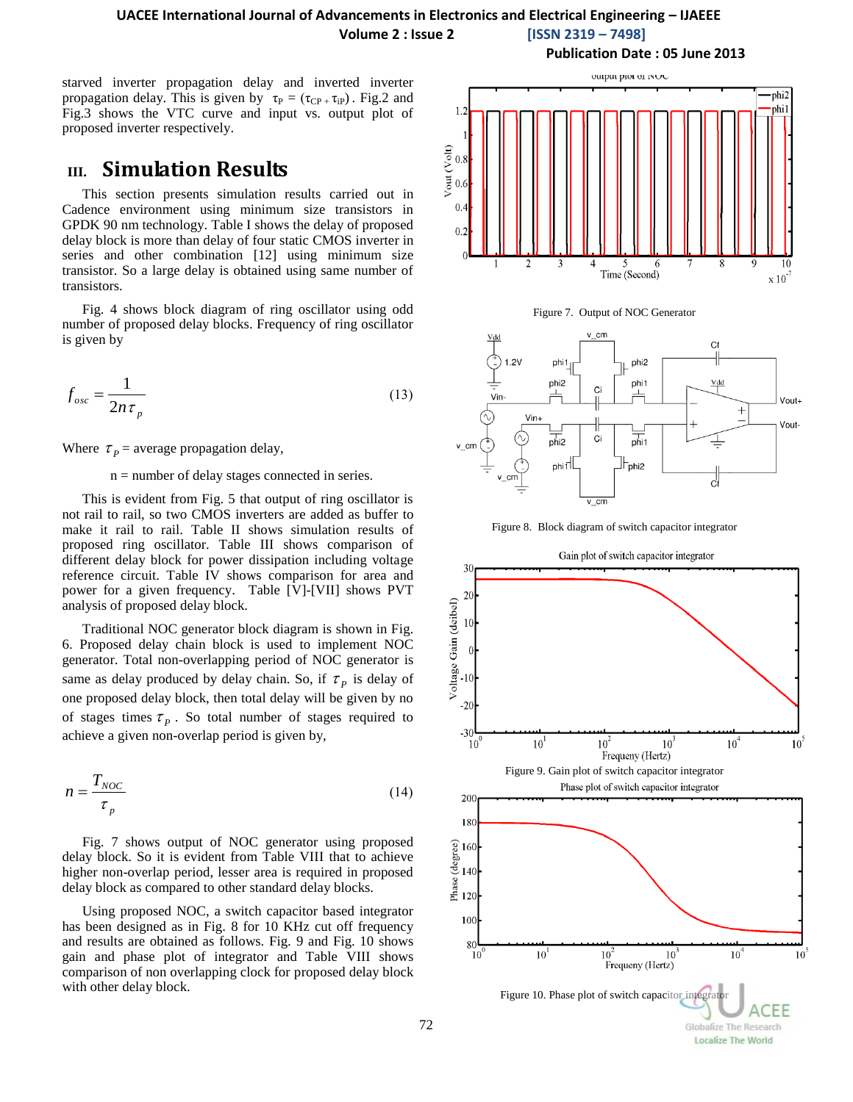## **UACEE International Journal of Advancements in Electronics and Electrical Engineering – IJAEEE**

**Volume 2 : Issue 2 [ISSN 2319 – 7498]**

starved inverter propagation delay and inverted inverter propagation delay. This is given by  $\tau_P = (\tau_{CP} , \tau_{IP})$ . Fig.2 and Fig.3 shows the VTC curve and input vs. output plot of proposed inverter respectively.

# **III. Simulation Results**

This section presents simulation results carried out in Cadence environment using minimum size transistors in GPDK 90 nm technology. Table I shows the delay of proposed delay block is more than delay of four static CMOS inverter in series and other combination [12] using minimum size transistor. So a large delay is obtained using same number of transistors.

Fig. 4 shows block diagram of ring oscillator using odd number of proposed delay blocks. Frequency of ring oscillator is given by

$$
f_{osc} = \frac{1}{2n\tau_p} \tag{13}
$$

Where  $\tau_p$  = average propagation delay,

#### n = number of delay stages connected in series.

This is evident from Fig. 5 that output of ring oscillator is not rail to rail, so two CMOS inverters are added as buffer to make it rail to rail. Table II shows simulation results of proposed ring oscillator. Table III shows comparison of different delay block for power dissipation including voltage reference circuit. Table IV shows comparison for area and power for a given frequency. Table [V]-[VII] shows PVT analysis of proposed delay block.

Traditional NOC generator block diagram is shown in Fig. 6. Proposed delay chain block is used to implement NOC generator. Total non-overlapping period of NOC generator is same as delay produced by delay chain. So, if  $\tau_p$  is delay of one proposed delay block, then total delay will be given by no of stages times  $\tau_p$ . So total number of stages required to achieve a given non-overlap period is given by,

$$
n = \frac{T_{NOC}}{\tau_p} \tag{14}
$$

Fig. 7 shows output of NOC generator using proposed delay block. So it is evident from Table VIII that to achieve higher non-overlap period, lesser area is required in proposed delay block as compared to other standard delay blocks.

Using proposed NOC, a switch capacitor based integrator has been designed as in Fig. 8 for 10 KHz cut off frequency and results are obtained as follows. Fig. 9 and Fig. 10 shows gain and phase plot of integrator and Table VIII shows comparison of non overlapping clock for proposed delay block with other delay block.

**Publication Date : 05 June 2013**







Figure 8. Block diagram of switch capacitor integrator